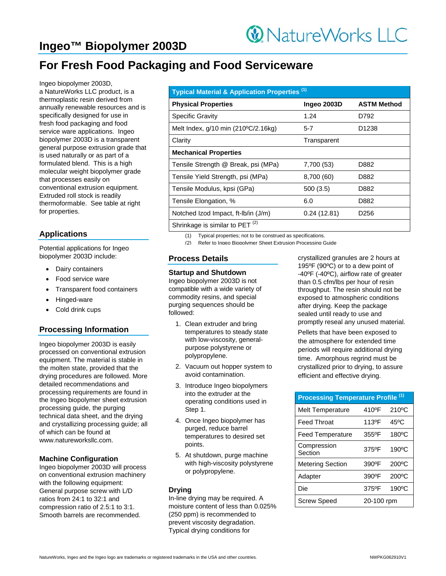# **Ingeo™ Biopolymer 2003D**

# **For Fresh Food Packaging and Food Serviceware**

Ingeo biopolymer 2003D, a NatureWorks LLC product, is a thermoplastic resin derived from annually renewable resources and is specifically designed for use in fresh food packaging and food service ware applications. Ingeo biopolymer 2003D is a transparent general purpose extrusion grade that is used naturally or as part of a formulated blend. This is a high molecular weight biopolymer grade that processes easily on conventional extrusion equipment. Extruded roll stock is readily thermoformable. See table at right for properties.

## **Applications**

Potential applications for Ingeo biopolymer 2003D include:

- Dairy containers
- Food service ware
- Transparent food containers
- Hinged-ware
- Cold drink cups

## **Processing Information**

Ingeo biopolymer 2003D is easily processed on conventional extrusion equipment. The material is stable in the molten state, provided that the drying procedures are followed. More detailed recommendations and processing requirements are found in the Ingeo biopolymer sheet extrusion processing guide, the purging technical data sheet, and the drying and crystallizing processing guide; all of which can be found at www.natureworksllc.com.

#### **Machine Configuration**

Ingeo biopolymer 2003D will process on conventional extrusion machinery with the following equipment: General purpose screw with L/D ratios from 24:1 to 32:1 and compression ratio of 2.5:1 to 3:1. Smooth barrels are recommended.

| Typical Material & Application Properties <sup>(1)</sup> |             |                    |  |
|----------------------------------------------------------|-------------|--------------------|--|
| <b>Physical Properties</b>                               | Ingeo 2003D | <b>ASTM Method</b> |  |
| <b>Specific Gravity</b>                                  | 1.24        | D792               |  |
| Melt Index, q/10 min (210°C/2.16kg)                      | $5 - 7$     | D1238              |  |
| Clarity                                                  | Transparent |                    |  |
| <b>Mechanical Properties</b>                             |             |                    |  |
| Tensile Strength @ Break, psi (MPa)                      | 7,700 (53)  | D882               |  |
| Tensile Yield Strength, psi (MPa)                        | 8,700 (60)  | D882               |  |
| Tensile Modulus, kpsi (GPa)                              | 500(3.5)    | D882               |  |
| Tensile Elongation, %                                    | 6.0         | D882               |  |
| Notched Izod Impact, ft-Ib/in (J/m)                      | 0.24(12.81) | D256               |  |
| Shrinkage is similar to PET <sup>(2)</sup>               |             |                    |  |

(1) Typical properties; not to be construed as specifications.

(2) Refer to Ingeo Biopolymer Sheet Extrusion Processing Guide

## **Process Details**

#### **Startup and Shutdown**

Ingeo biopolymer 2003D is not compatible with a wide variety of commodity resins, and special purging sequences should be followed:

- 1. Clean extruder and bring temperatures to steady state with low-viscosity, generalpurpose polystyrene or polypropylene.
- 2. Vacuum out hopper system to avoid contamination.
- 3. Introduce Ingeo biopolymers into the extruder at the operating conditions used in Step 1.
- 4. Once Ingeo biopolymer has purged, reduce barrel temperatures to desired set points.
- 5. At shutdown, purge machine with high-viscosity polystyrene or polypropylene.

#### **Drying**

In-line drying may be required. A moisture content of less than 0.025% (250 ppm) is recommended to prevent viscosity degradation. Typical drying conditions for

crystallized granules are 2 hours at 195ºF (90ºC) or to a dew point of -40ºF (-40ºC), airflow rate of greater than 0.5 cfm/lbs per hour of resin throughput. The resin should not be exposed to atmospheric conditions after drying. Keep the package sealed until ready to use and promptly reseal any unused material.

Pellets that have been exposed to the atmosphere for extended time periods will require additional drying time. Amorphous regrind must be crystallized prior to drying, to assure efficient and effective drying.

| <b>Processing Temperature Profile (1)</b> |                    |                    |  |
|-------------------------------------------|--------------------|--------------------|--|
| <b>Melt Temperature</b>                   | 410 <sup>o</sup> F | 210 <sup>o</sup> C |  |
| Feed Throat                               | 113ºF              | $45^{\circ}$ C     |  |
| <b>Feed Temperature</b>                   | 355°F              | $180^{\circ}$ C    |  |
| Compression<br>Section                    | 375°F              | 190°C              |  |
| <b>Metering Section</b>                   | 390°F              | $200^{\circ}$ C    |  |
| Adapter                                   | 390°F              | $200^{\circ}$ C    |  |
| Die                                       | 375°F              | $190^{\circ}$ C    |  |
| <b>Screw Speed</b>                        | 20-100 rpm         |                    |  |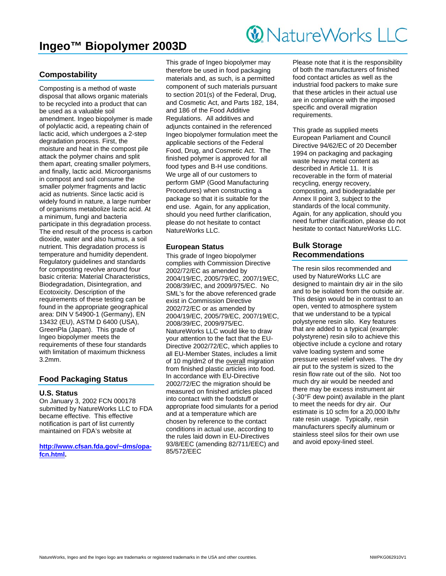## **Ingeo™ Biopolymer 2003D**

# **W** NatureWorks LLC

## **Compostability**

Composting is a method of waste disposal that allows organic materials to be recycled into a product that can be used as a valuable soil amendment. Ingeo biopolymer is made of polylactic acid, a repeating chain of lactic acid, which undergoes a 2-step degradation process. First, the moisture and heat in the compost pile attack the polymer chains and split them apart, creating smaller polymers, and finally, lactic acid. Microorganisms in compost and soil consume the smaller polymer fragments and lactic acid as nutrients. Since lactic acid is widely found in nature, a large number of organisms metabolize lactic acid. At a minimum, fungi and bacteria participate in this degradation process. The end result of the process is carbon dioxide, water and also humus, a soil nutrient. This degradation process is temperature and humidity dependent. Regulatory guidelines and standards for composting revolve around four basic criteria: Material Characteristics, Biodegradation, Disintegration, and Ecotoxicity. Description of the requirements of these testing can be found in the appropriate geographical area: DIN V 54900-1 (Germany), EN 13432 (EU), ASTM D 6400 (USA), GreenPla (Japan). This grade of Ingeo biopolymer meets the requirements of these four standards with limitation of maximum thickness 3.2mm.

## **Food Packaging Status**

#### **U.S. Status**

On January 3, 2002 FCN 000178 submitted by NatureWorks LLC to FDA became effective. This effective notification is part of list currently maintained on FDA's website at

**http://www.cfsan.fda.gov/~dms/opafcn.html.** 

This grade of Ingeo biopolymer may therefore be used in food packaging materials and, as such, is a permitted component of such materials pursuant to section 201(s) of the Federal, Drug, and Cosmetic Act, and Parts 182, 184, and 186 of the Food Additive Regulations. All additives and adjuncts contained in the referenced Ingeo biopolymer formulation meet the applicable sections of the Federal Food, Drug, and Cosmetic Act. The finished polymer is approved for all food types and B-H use conditions. We urge all of our customers to perform GMP (Good Manufacturing Procedures) when constructing a package so that it is suitable for the end use. Again, for any application, should you need further clarification, please do not hesitate to contact NatureWorks LLC.

#### **European Status**

This grade of Ingeo biopolymer complies with Commission Directive 2002/72/EC as amended by 2004/19/EC, 2005/79/EC, 2007/19/EC, 2008/39/EC, and 2009/975/EC. No SML's for the above referenced grade exist in Commission Directive 2002/72/EC or as amended by 2004/19/EC, 2005/79/EC, 2007/19/EC, 2008/39/EC, 2009/975/EC. NatureWorks LLC would like to draw your attention to the fact that the EU-Directive 2002/72/EC, which applies to all EU-Member States, includes a limit of 10 mg/dm2 of the overall migration from finished plastic articles into food. In accordance with EU-Directive 2002/72/EC the migration should be measured on finished articles placed into contact with the foodstuff or appropriate food simulants for a period and at a temperature which are chosen by reference to the contact conditions in actual use, according to the rules laid down in EU-Directives 93/8/EEC (amending 82/711/EEC) and 85/572/EEC

Please note that it is the responsibility of both the manufacturers of finished food contact articles as well as the industrial food packers to make sure that these articles in their actual use are in compliance with the imposed specific and overall migration requirements.

This grade as supplied meets European Parliament and Council Directive 94/62/EC of 20 December 1994 on packaging and packaging waste heavy metal content as described in Article 11. It is recoverable in the form of material recycling, energy recovery, composting, and biodegradable per Annex II point 3, subject to the standards of the local community. Again, for any application, should you need further clarification, please do not hesitate to contact NatureWorks LLC.

## **Bulk Storage Recommendations**

The resin silos recommended and used by NatureWorks LLC are designed to maintain dry air in the silo and to be isolated from the outside air. This design would be in contrast to an open, vented to atmosphere system that we understand to be a typical polystyrene resin silo. Key features that are added to a typical (example: polystyrene) resin silo to achieve this objective include a cyclone and rotary valve loading system and some pressure vessel relief valves. The dry air put to the system is sized to the resin flow rate out of the silo. Not too much dry air would be needed and there may be excess instrument air (-30°F dew point) available in the plant to meet the needs for dry air. Our estimate is 10 scfm for a 20,000 lb/hr rate resin usage. Typically, resin manufacturers specify aluminum or stainless steel silos for their own use and avoid epoxy-lined steel.